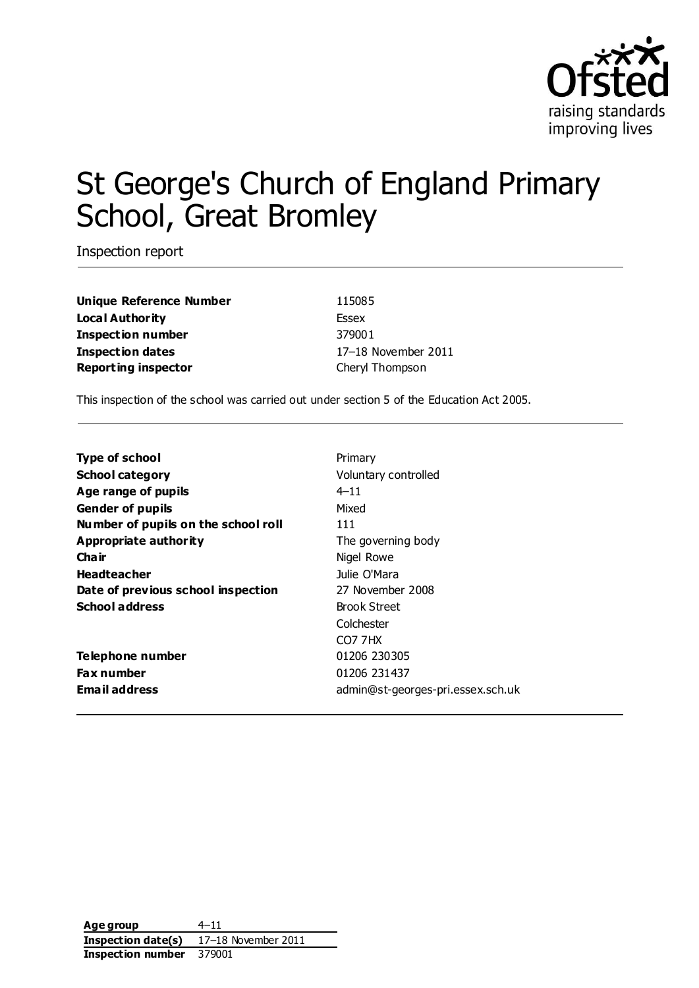

# St George's Church of England Primary School, Great Bromley

Inspection report

**Unique Reference Number** 115085 **Local Authority** Essex **Inspection number** 379001 **Inspection dates** 17–18 November 2011 **Reporting inspector** Cheryl Thompson

This inspection of the school was carried out under section 5 of the Education Act 2005.

| <b>Type of school</b>               | Primary                           |
|-------------------------------------|-----------------------------------|
| <b>School category</b>              | Voluntary controlled              |
| Age range of pupils                 | $4 - 11$                          |
| <b>Gender of pupils</b>             | Mixed                             |
| Number of pupils on the school roll | 111                               |
| Appropriate authority               | The governing body                |
| Cha ir                              | Nigel Rowe                        |
| <b>Headteacher</b>                  | Julie O'Mara                      |
| Date of previous school inspection  | 27 November 2008                  |
| <b>School address</b>               | <b>Brook Street</b>               |
|                                     | Colchester                        |
|                                     | CO7 7HX                           |
| Telephone number                    | 01206 230305                      |
| Fax number                          | 01206 231437                      |
| <b>Email address</b>                | admin@st-georges-pri.essex.sch.uk |
|                                     |                                   |

**Age group** 4–11 **Inspection date(s)** 17–18 November 2011 **Inspection number** 379001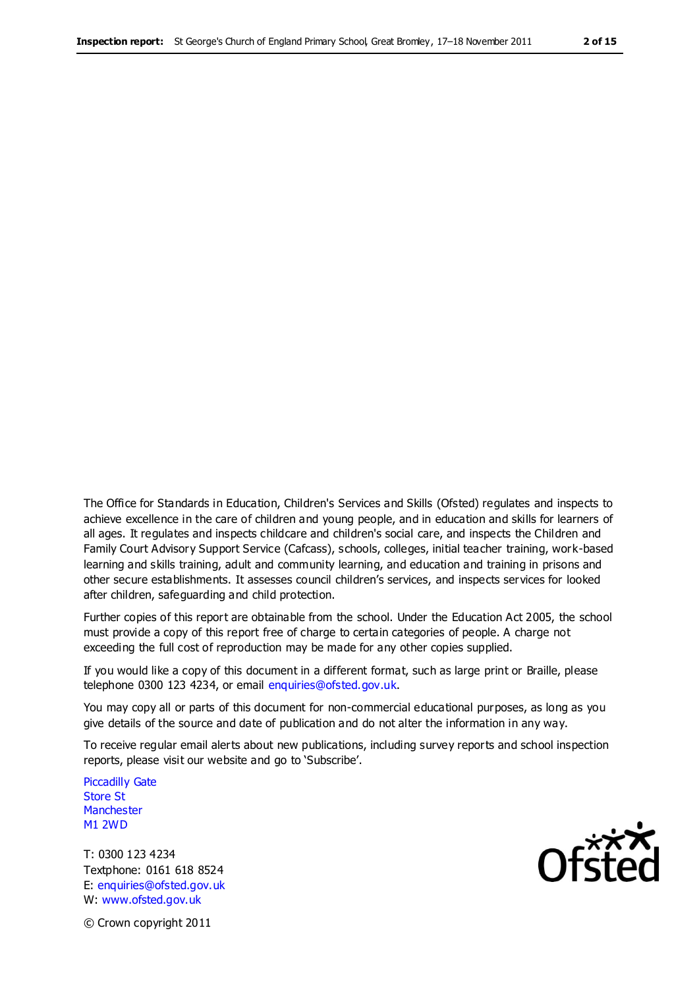The Office for Standards in Education, Children's Services and Skills (Ofsted) regulates and inspects to achieve excellence in the care of children and young people, and in education and skills for learners of all ages. It regulates and inspects childcare and children's social care, and inspects the Children and Family Court Advisory Support Service (Cafcass), schools, colleges, initial teacher training, work-based learning and skills training, adult and community learning, and education and training in prisons and other secure establishments. It assesses council children's services, and inspects services for looked after children, safeguarding and child protection.

Further copies of this report are obtainable from the school. Under the Education Act 2005, the school must provide a copy of this report free of charge to certain categories of people. A charge not exceeding the full cost of reproduction may be made for any other copies supplied.

If you would like a copy of this document in a different format, such as large print or Braille, please telephone 0300 123 4234, or email enquiries@ofsted.gov.uk.

You may copy all or parts of this document for non-commercial educational purposes, as long as you give details of the source and date of publication and do not alter the information in any way.

To receive regular email alerts about new publications, including survey reports and school inspection reports, please visit our website and go to 'Subscribe'.

Piccadilly Gate Store St **Manchester** M1 2WD

T: 0300 123 4234 Textphone: 0161 618 8524 E: enquiries@ofsted.gov.uk W: www.ofsted.gov.uk

**Ofsted** 

© Crown copyright 2011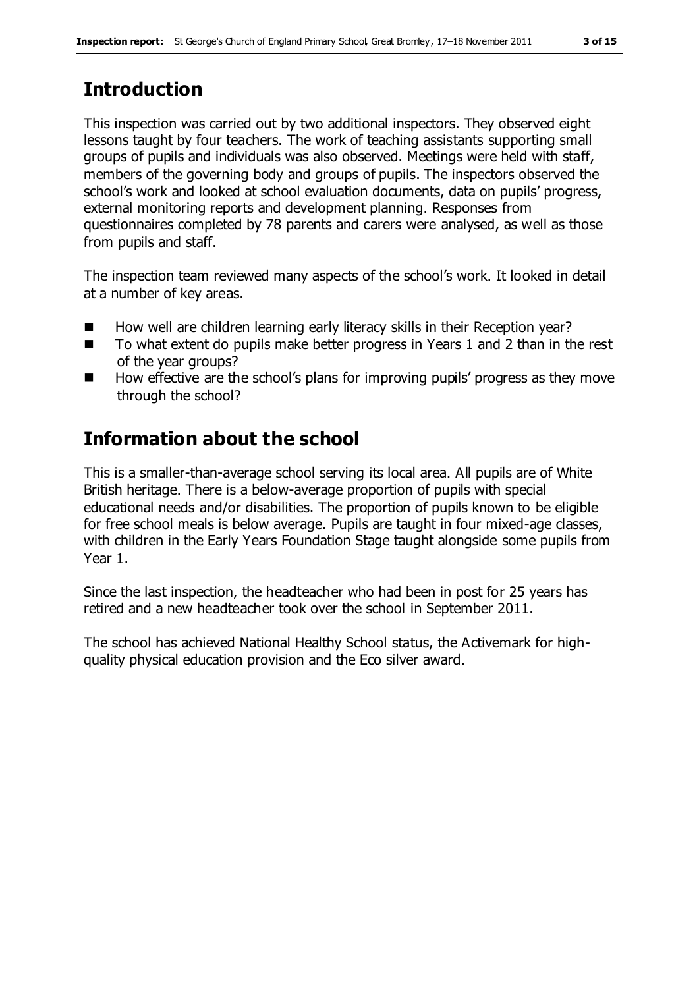# **Introduction**

This inspection was carried out by two additional inspectors. They observed eight lessons taught by four teachers. The work of teaching assistants supporting small groups of pupils and individuals was also observed. Meetings were held with staff, members of the governing body and groups of pupils. The inspectors observed the school's work and looked at school evaluation documents, data on pupils' progress, external monitoring reports and development planning. Responses from questionnaires completed by 78 parents and carers were analysed, as well as those from pupils and staff.

The inspection team reviewed many aspects of the school's work. It looked in detail at a number of key areas.

- How well are children learning early literacy skills in their Reception year?
- To what extent do pupils make better progress in Years 1 and 2 than in the rest of the year groups?
- How effective are the school's plans for improving pupils' progress as they move through the school?

# **Information about the school**

This is a smaller-than-average school serving its local area. All pupils are of White British heritage. There is a below-average proportion of pupils with special educational needs and/or disabilities. The proportion of pupils known to be eligible for free school meals is below average. Pupils are taught in four mixed-age classes, with children in the Early Years Foundation Stage taught alongside some pupils from Year 1.

Since the last inspection, the headteacher who had been in post for 25 years has retired and a new headteacher took over the school in September 2011.

The school has achieved National Healthy School status, the Activemark for highquality physical education provision and the Eco silver award.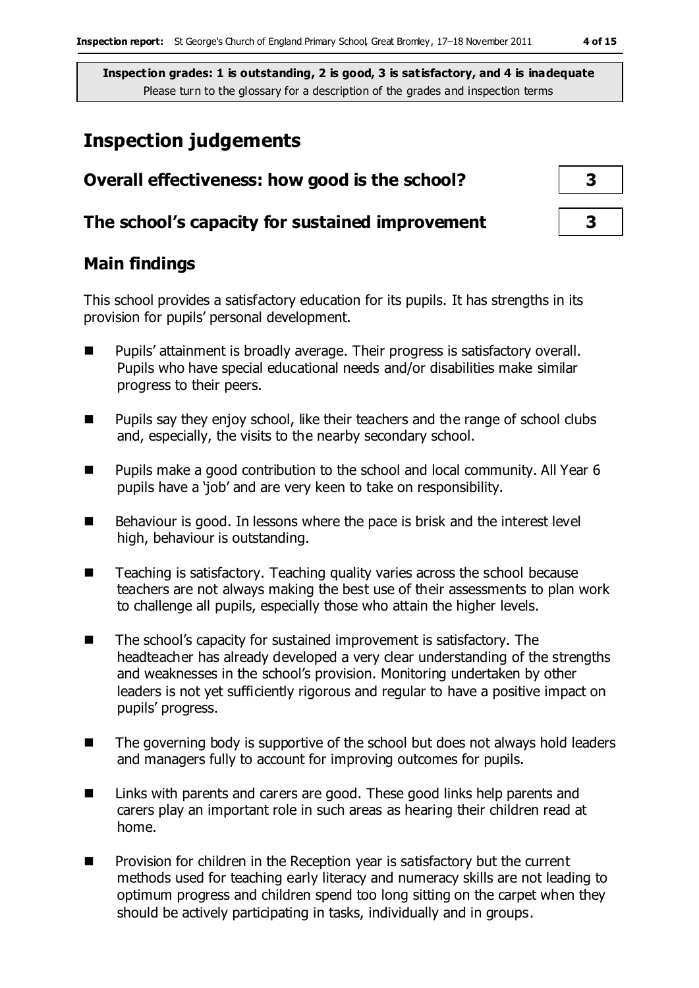## **Inspection judgements**

| Overall effectiveness: how good is the school?  |  |
|-------------------------------------------------|--|
| The school's capacity for sustained improvement |  |

## **Main findings**

This school provides a satisfactory education for its pupils. It has strengths in its provision for pupils' personal development.

- Pupils' attainment is broadly average. Their progress is satisfactory overall. Pupils who have special educational needs and/or disabilities make similar progress to their peers.
- Pupils say they enjoy school, like their teachers and the range of school clubs and, especially, the visits to the nearby secondary school.
- Pupils make a good contribution to the school and local community. All Year 6 pupils have a 'job' and are very keen to take on responsibility.
- $\blacksquare$  Behaviour is good. In lessons where the pace is brisk and the interest level high, behaviour is outstanding.
- Teaching is satisfactory. Teaching quality varies across the school because teachers are not always making the best use of their assessments to plan work to challenge all pupils, especially those who attain the higher levels.
- The school's capacity for sustained improvement is satisfactory. The headteacher has already developed a very clear understanding of the strengths and weaknesses in the school's provision. Monitoring undertaken by other leaders is not yet sufficiently rigorous and regular to have a positive impact on pupils' progress.
- $\blacksquare$  The governing body is supportive of the school but does not always hold leaders and managers fully to account for improving outcomes for pupils.
- Links with parents and carers are good. These good links help parents and carers play an important role in such areas as hearing their children read at home.
- **Provision for children in the Reception year is satisfactory but the current** methods used for teaching early literacy and numeracy skills are not leading to optimum progress and children spend too long sitting on the carpet when they should be actively participating in tasks, individually and in groups.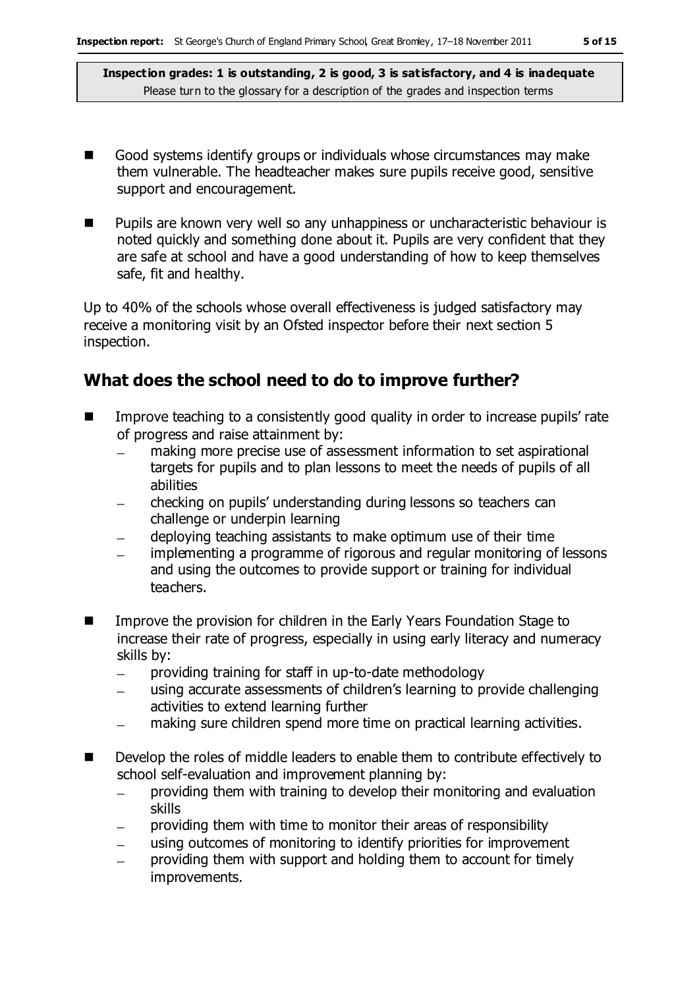- Good systems identify groups or individuals whose circumstances may make them vulnerable. The headteacher makes sure pupils receive good, sensitive support and encouragement.
- **Pupils are known very well so any unhappiness or uncharacteristic behaviour is** noted quickly and something done about it. Pupils are very confident that they are safe at school and have a good understanding of how to keep themselves safe, fit and healthy.

Up to 40% of the schools whose overall effectiveness is judged satisfactory may receive a monitoring visit by an Ofsted inspector before their next section 5 inspection.

## **What does the school need to do to improve further?**

- **IMPROVE THE ACCORDITY CONSTRUMENT IN A CONSTRUMENT** in order to increase pupils' rate of progress and raise attainment by:
	- making more precise use of assessment information to set aspirational targets for pupils and to plan lessons to meet the needs of pupils of all abilities
	- checking on pupils' understanding during lessons so teachers can challenge or underpin learning
	- deploying teaching assistants to make optimum use of their time
	- implementing a programme of rigorous and regular monitoring of lessons  $\overline{\phantom{0}}$ and using the outcomes to provide support or training for individual teachers.
- Improve the provision for children in the Early Years Foundation Stage to increase their rate of progress, especially in using early literacy and numeracy skills by:
	- $\equiv$ providing training for staff in up-to-date methodology
	- using accurate assessments of children's learning to provide challenging activities to extend learning further
	- making sure children spend more time on practical learning activities.
- Develop the roles of middle leaders to enable them to contribute effectively to school self-evaluation and improvement planning by:
	- providing them with training to develop their monitoring and evaluation  $\frac{1}{2}$ skills
	- providing them with time to monitor their areas of responsibility
	- using outcomes of monitoring to identify priorities for improvement
	- providing them with support and holding them to account for timely improvements.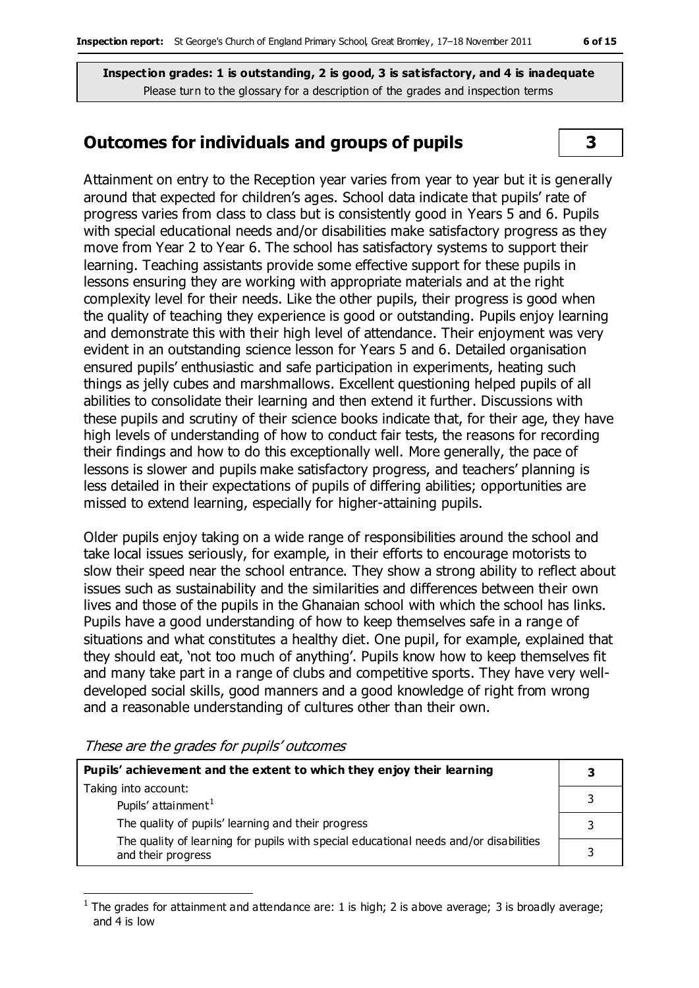## **Outcomes for individuals and groups of pupils 3**

Attainment on entry to the Reception year varies from year to year but it is generally around that expected for children's ages. School data indicate that pupils' rate of progress varies from class to class but is consistently good in Years 5 and 6. Pupils with special educational needs and/or disabilities make satisfactory progress as they move from Year 2 to Year 6. The school has satisfactory systems to support their learning. Teaching assistants provide some effective support for these pupils in lessons ensuring they are working with appropriate materials and at the right complexity level for their needs. Like the other pupils, their progress is good when the quality of teaching they experience is good or outstanding. Pupils enjoy learning and demonstrate this with their high level of attendance. Their enjoyment was very evident in an outstanding science lesson for Years 5 and 6. Detailed organisation ensured pupils' enthusiastic and safe participation in experiments, heating such things as jelly cubes and marshmallows. Excellent questioning helped pupils of all abilities to consolidate their learning and then extend it further. Discussions with these pupils and scrutiny of their science books indicate that, for their age, they have high levels of understanding of how to conduct fair tests, the reasons for recording their findings and how to do this exceptionally well. More generally, the pace of lessons is slower and pupils make satisfactory progress, and teachers' planning is less detailed in their expectations of pupils of differing abilities; opportunities are missed to extend learning, especially for higher-attaining pupils.

Older pupils enjoy taking on a wide range of responsibilities around the school and take local issues seriously, for example, in their efforts to encourage motorists to slow their speed near the school entrance. They show a strong ability to reflect about issues such as sustainability and the similarities and differences between their own lives and those of the pupils in the Ghanaian school with which the school has links. Pupils have a good understanding of how to keep themselves safe in a range of situations and what constitutes a healthy diet. One pupil, for example, explained that they should eat, 'not too much of anything'. Pupils know how to keep themselves fit and many take part in a range of clubs and competitive sports. They have very welldeveloped social skills, good manners and a good knowledge of right from wrong and a reasonable understanding of cultures other than their own.

These are the grades for pupils' outcomes

| Pupils' achievement and the extent to which they enjoy their learning                                       |  |
|-------------------------------------------------------------------------------------------------------------|--|
| Taking into account:<br>Pupils' attainment <sup>1</sup>                                                     |  |
| The quality of pupils' learning and their progress                                                          |  |
| The quality of learning for pupils with special educational needs and/or disabilities<br>and their progress |  |

 $\overline{a}$ 1 The grades for attainment and attendance are: 1 is high; 2 is above average; 3 is broadly average; and 4 is low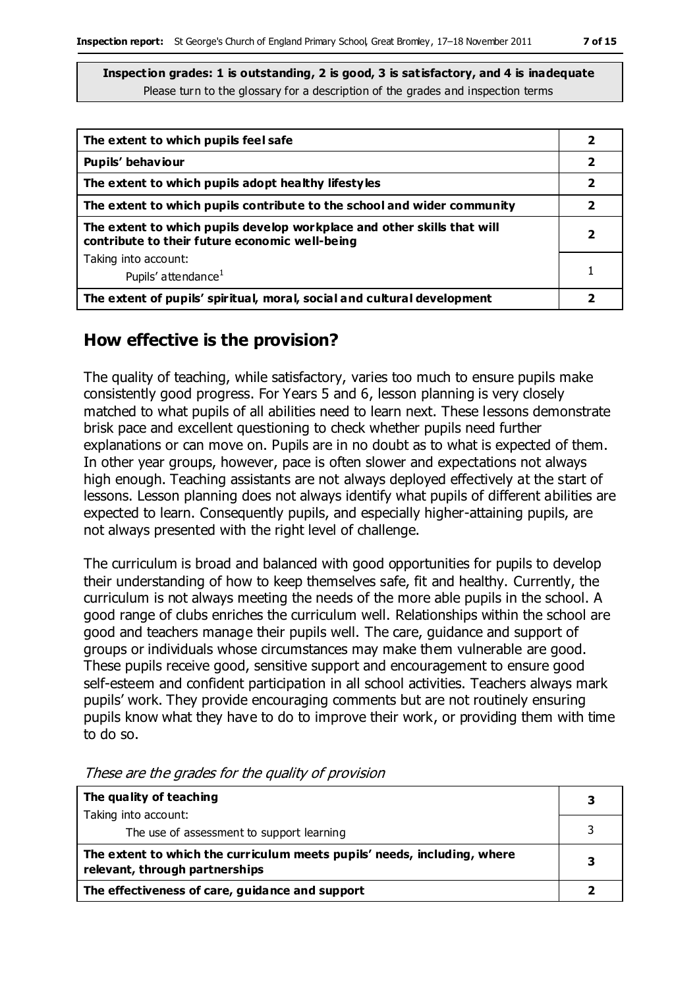| The extent to which pupils feel safe                                                                                      |   |
|---------------------------------------------------------------------------------------------------------------------------|---|
| Pupils' behaviour                                                                                                         | 2 |
| The extent to which pupils adopt healthy lifestyles                                                                       | 2 |
| The extent to which pupils contribute to the school and wider community                                                   | 2 |
| The extent to which pupils develop workplace and other skills that will<br>contribute to their future economic well-being |   |
| Taking into account:                                                                                                      |   |
| Pupils' attendance <sup>1</sup>                                                                                           |   |
| The extent of pupils' spiritual, moral, social and cultural development                                                   |   |

#### **How effective is the provision?**

The quality of teaching, while satisfactory, varies too much to ensure pupils make consistently good progress. For Years 5 and 6, lesson planning is very closely matched to what pupils of all abilities need to learn next. These lessons demonstrate brisk pace and excellent questioning to check whether pupils need further explanations or can move on. Pupils are in no doubt as to what is expected of them. In other year groups, however, pace is often slower and expectations not always high enough. Teaching assistants are not always deployed effectively at the start of lessons. Lesson planning does not always identify what pupils of different abilities are expected to learn. Consequently pupils, and especially higher-attaining pupils, are not always presented with the right level of challenge.

The curriculum is broad and balanced with good opportunities for pupils to develop their understanding of how to keep themselves safe, fit and healthy. Currently, the curriculum is not always meeting the needs of the more able pupils in the school. A good range of clubs enriches the curriculum well. Relationships within the school are good and teachers manage their pupils well. The care, guidance and support of groups or individuals whose circumstances may make them vulnerable are good. These pupils receive good, sensitive support and encouragement to ensure good self-esteem and confident participation in all school activities. Teachers always mark pupils' work. They provide encouraging comments but are not routinely ensuring pupils know what they have to do to improve their work, or providing them with time to do so.

| The quality of teaching                                                                                    | 3 |
|------------------------------------------------------------------------------------------------------------|---|
| Taking into account:                                                                                       |   |
| The use of assessment to support learning                                                                  |   |
| The extent to which the curriculum meets pupils' needs, including, where<br>relevant, through partnerships |   |
| The effectiveness of care, guidance and support                                                            |   |

These are the grades for the quality of provision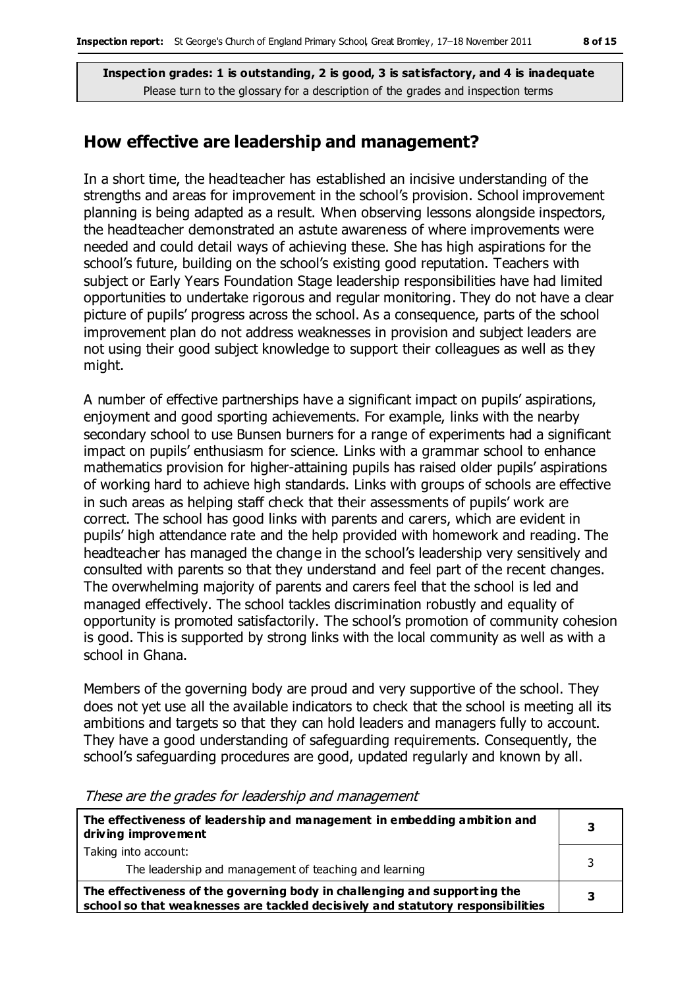#### **How effective are leadership and management?**

In a short time, the headteacher has established an incisive understanding of the strengths and areas for improvement in the school's provision. School improvement planning is being adapted as a result. When observing lessons alongside inspectors, the headteacher demonstrated an astute awareness of where improvements were needed and could detail ways of achieving these. She has high aspirations for the school's future, building on the school's existing good reputation. Teachers with subject or Early Years Foundation Stage leadership responsibilities have had limited opportunities to undertake rigorous and regular monitoring. They do not have a clear picture of pupils' progress across the school. As a consequence, parts of the school improvement plan do not address weaknesses in provision and subject leaders are not using their good subject knowledge to support their colleagues as well as they might.

A number of effective partnerships have a significant impact on pupils' aspirations, enjoyment and good sporting achievements. For example, links with the nearby secondary school to use Bunsen burners for a range of experiments had a significant impact on pupils' enthusiasm for science. Links with a grammar school to enhance mathematics provision for higher-attaining pupils has raised older pupils' aspirations of working hard to achieve high standards. Links with groups of schools are effective in such areas as helping staff check that their assessments of pupils' work are correct. The school has good links with parents and carers, which are evident in pupils' high attendance rate and the help provided with homework and reading. The headteacher has managed the change in the school's leadership very sensitively and consulted with parents so that they understand and feel part of the recent changes. The overwhelming majority of parents and carers feel that the school is led and managed effectively. The school tackles discrimination robustly and equality of opportunity is promoted satisfactorily. The school's promotion of community cohesion is good. This is supported by strong links with the local community as well as with a school in Ghana.

Members of the governing body are proud and very supportive of the school. They does not yet use all the available indicators to check that the school is meeting all its ambitions and targets so that they can hold leaders and managers fully to account. They have a good understanding of safeguarding requirements. Consequently, the school's safeguarding procedures are good, updated regularly and known by all.

| The effectiveness of leadership and management in embedding ambition and<br>driving improvement                                                              | 3 |
|--------------------------------------------------------------------------------------------------------------------------------------------------------------|---|
| Taking into account:<br>The leadership and management of teaching and learning                                                                               |   |
| The effectiveness of the governing body in challenging and supporting the<br>school so that weaknesses are tackled decisively and statutory responsibilities |   |

#### These are the grades for leadership and management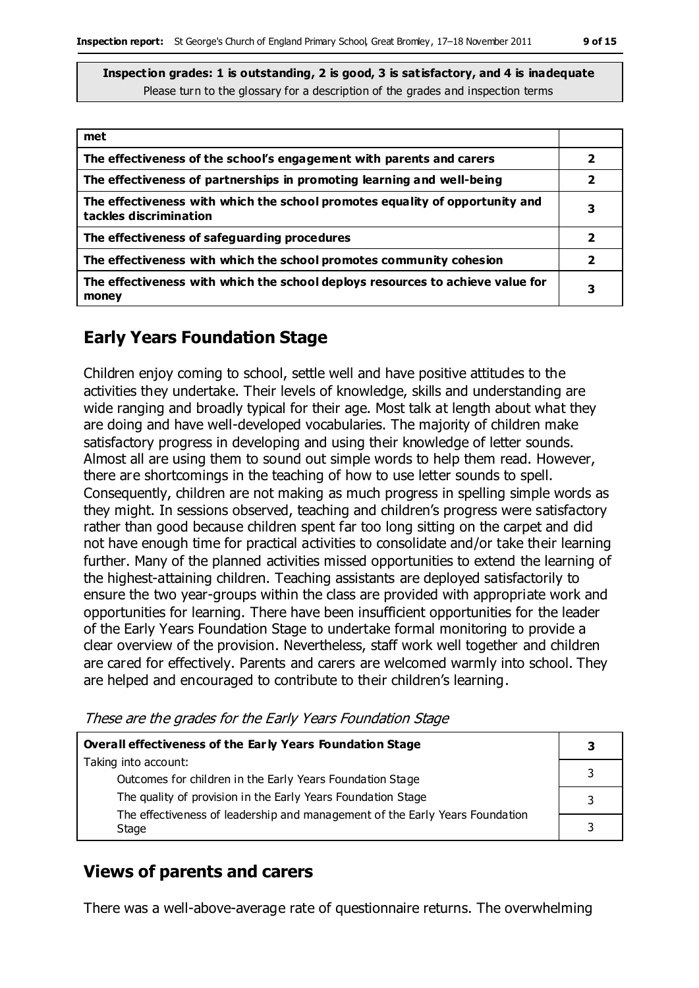| met                                                                                                    |   |
|--------------------------------------------------------------------------------------------------------|---|
| The effectiveness of the school's engagement with parents and carers                                   | 2 |
| The effectiveness of partnerships in promoting learning and well-being                                 | 2 |
| The effectiveness with which the school promotes equality of opportunity and<br>tackles discrimination | 3 |
| The effectiveness of safeguarding procedures                                                           | 2 |
| The effectiveness with which the school promotes community cohesion                                    | 2 |
| The effectiveness with which the school deploys resources to achieve value for<br>money                | 3 |

## **Early Years Foundation Stage**

Children enjoy coming to school, settle well and have positive attitudes to the activities they undertake. Their levels of knowledge, skills and understanding are wide ranging and broadly typical for their age. Most talk at length about what they are doing and have well-developed vocabularies. The majority of children make satisfactory progress in developing and using their knowledge of letter sounds. Almost all are using them to sound out simple words to help them read. However, there are shortcomings in the teaching of how to use letter sounds to spell. Consequently, children are not making as much progress in spelling simple words as they might. In sessions observed, teaching and children's progress were satisfactory rather than good because children spent far too long sitting on the carpet and did not have enough time for practical activities to consolidate and/or take their learning further. Many of the planned activities missed opportunities to extend the learning of the highest-attaining children. Teaching assistants are deployed satisfactorily to ensure the two year-groups within the class are provided with appropriate work and opportunities for learning. There have been insufficient opportunities for the leader of the Early Years Foundation Stage to undertake formal monitoring to provide a clear overview of the provision. Nevertheless, staff work well together and children are cared for effectively. Parents and carers are welcomed warmly into school. They are helped and encouraged to contribute to their children's learning.

These are the grades for the Early Years Foundation Stage

| Overall effectiveness of the Early Years Foundation Stage                                                                 |  |
|---------------------------------------------------------------------------------------------------------------------------|--|
| Taking into account:                                                                                                      |  |
| Outcomes for children in the Early Years Foundation Stage<br>The quality of provision in the Early Years Foundation Stage |  |
| The effectiveness of leadership and management of the Early Years Foundation                                              |  |
| Stage                                                                                                                     |  |

## **Views of parents and carers**

There was a well-above-average rate of questionnaire returns. The overwhelming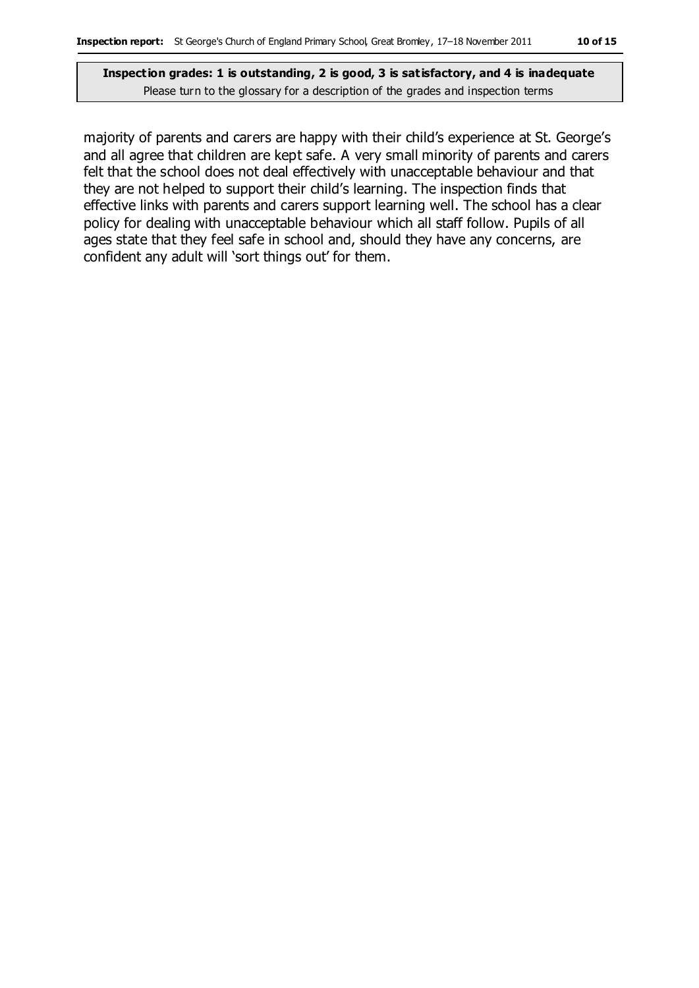majority of parents and carers are happy with their child's experience at St. George's and all agree that children are kept safe. A very small minority of parents and carers felt that the school does not deal effectively with unacceptable behaviour and that they are not helped to support their child's learning. The inspection finds that effective links with parents and carers support learning well. The school has a clear policy for dealing with unacceptable behaviour which all staff follow. Pupils of all ages state that they feel safe in school and, should they have any concerns, are confident any adult will 'sort things out' for them.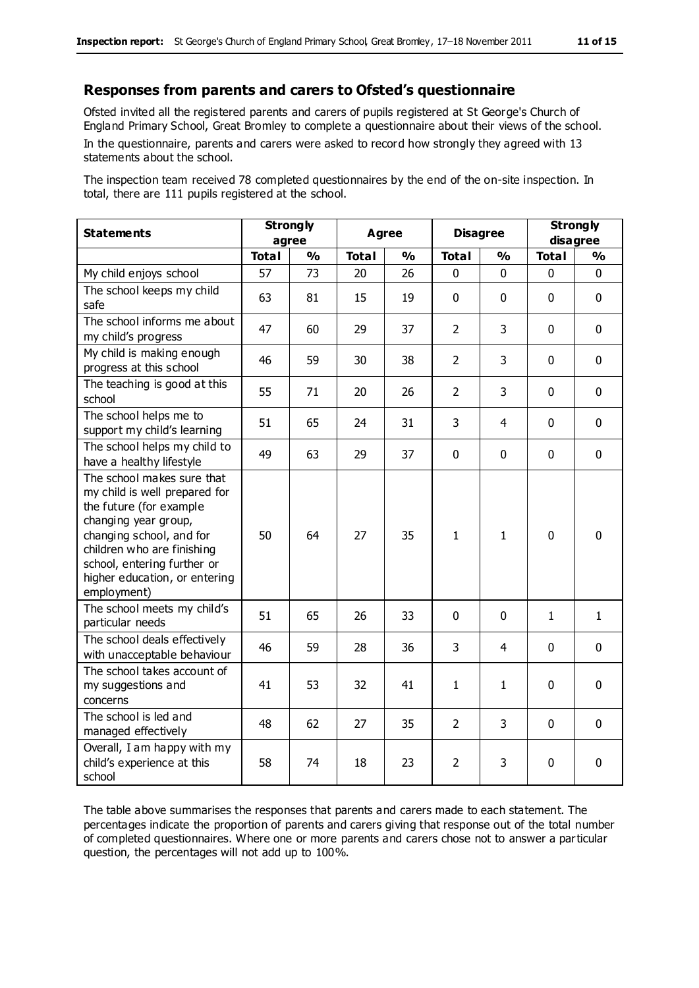#### **Responses from parents and carers to Ofsted's questionnaire**

Ofsted invited all the registered parents and carers of pupils registered at St George's Church of England Primary School, Great Bromley to complete a questionnaire about their views of the school. In the questionnaire, parents and carers were asked to record how strongly they agreed with 13

statements about the school.

The inspection team received 78 completed questionnaires by the end of the on-site inspection. In total, there are 111 pupils registered at the school.

| <b>Statements</b>                                                                                                                                                                                                                                       | <b>Strongly</b><br>agree |               | Agree        |               | <b>Disagree</b> |              | <b>Strongly</b><br>disagree |               |
|---------------------------------------------------------------------------------------------------------------------------------------------------------------------------------------------------------------------------------------------------------|--------------------------|---------------|--------------|---------------|-----------------|--------------|-----------------------------|---------------|
|                                                                                                                                                                                                                                                         | <b>Total</b>             | $\frac{0}{0}$ | <b>Total</b> | $\frac{1}{2}$ | <b>Total</b>    | %            | <b>Total</b>                | $\frac{1}{2}$ |
| My child enjoys school                                                                                                                                                                                                                                  | 57                       | 73            | 20           | 26            | $\Omega$        | $\Omega$     | $\Omega$                    | 0             |
| The school keeps my child<br>safe                                                                                                                                                                                                                       | 63                       | 81            | 15           | 19            | $\mathbf 0$     | $\mathbf 0$  | $\mathbf 0$                 | $\mathbf 0$   |
| The school informs me about<br>my child's progress                                                                                                                                                                                                      | 47                       | 60            | 29           | 37            | $\overline{2}$  | 3            | $\mathbf 0$                 | $\mathbf 0$   |
| My child is making enough<br>progress at this school                                                                                                                                                                                                    | 46                       | 59            | 30           | 38            | $\overline{2}$  | 3            | $\mathbf 0$                 | $\mathbf 0$   |
| The teaching is good at this<br>school                                                                                                                                                                                                                  | 55                       | 71            | 20           | 26            | $\overline{2}$  | 3            | $\mathbf 0$                 | $\mathbf 0$   |
| The school helps me to<br>support my child's learning                                                                                                                                                                                                   | 51                       | 65            | 24           | 31            | 3               | 4            | $\mathbf 0$                 | $\mathbf 0$   |
| The school helps my child to<br>have a healthy lifestyle                                                                                                                                                                                                | 49                       | 63            | 29           | 37            | 0               | $\mathbf 0$  | $\Omega$                    | $\mathbf 0$   |
| The school makes sure that<br>my child is well prepared for<br>the future (for example<br>changing year group,<br>changing school, and for<br>children who are finishing<br>school, entering further or<br>higher education, or entering<br>employment) | 50                       | 64            | 27           | 35            | $\mathbf{1}$    | $\mathbf{1}$ | $\mathbf 0$                 | $\mathbf 0$   |
| The school meets my child's<br>particular needs                                                                                                                                                                                                         | 51                       | 65            | 26           | 33            | 0               | 0            | $\mathbf{1}$                | $\mathbf{1}$  |
| The school deals effectively<br>with unacceptable behaviour                                                                                                                                                                                             | 46                       | 59            | 28           | 36            | 3               | 4            | $\mathbf 0$                 | $\mathbf 0$   |
| The school takes account of<br>my suggestions and<br>concerns                                                                                                                                                                                           | 41                       | 53            | 32           | 41            | $\mathbf{1}$    | $\mathbf{1}$ | $\mathbf 0$                 | $\mathbf 0$   |
| The school is led and<br>managed effectively                                                                                                                                                                                                            | 48                       | 62            | 27           | 35            | $\overline{2}$  | 3            | $\mathbf 0$                 | $\mathbf 0$   |
| Overall, I am happy with my<br>child's experience at this<br>school                                                                                                                                                                                     | 58                       | 74            | 18           | 23            | $\overline{2}$  | 3            | $\mathbf 0$                 | $\mathbf 0$   |

The table above summarises the responses that parents and carers made to each statement. The percentages indicate the proportion of parents and carers giving that response out of the total number of completed questionnaires. Where one or more parents and carers chose not to answer a particular question, the percentages will not add up to 100%.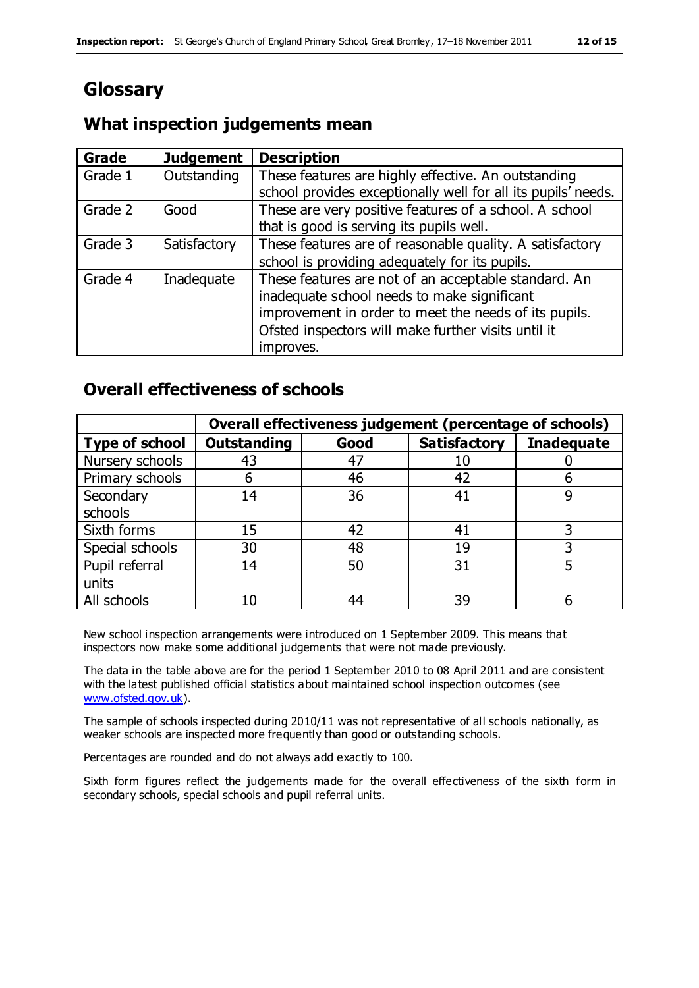# **Glossary**

## **What inspection judgements mean**

| <b>Grade</b> | <b>Judgement</b> | <b>Description</b>                                            |
|--------------|------------------|---------------------------------------------------------------|
| Grade 1      | Outstanding      | These features are highly effective. An outstanding           |
|              |                  | school provides exceptionally well for all its pupils' needs. |
| Grade 2      | Good             | These are very positive features of a school. A school        |
|              |                  | that is good is serving its pupils well.                      |
| Grade 3      | Satisfactory     | These features are of reasonable quality. A satisfactory      |
|              |                  | school is providing adequately for its pupils.                |
| Grade 4      | Inadequate       | These features are not of an acceptable standard. An          |
|              |                  | inadequate school needs to make significant                   |
|              |                  | improvement in order to meet the needs of its pupils.         |
|              |                  | Ofsted inspectors will make further visits until it           |
|              |                  | improves.                                                     |

## **Overall effectiveness of schools**

|                       |                    |      | Overall effectiveness judgement (percentage of schools) |                   |
|-----------------------|--------------------|------|---------------------------------------------------------|-------------------|
| <b>Type of school</b> | <b>Outstanding</b> | Good | <b>Satisfactory</b>                                     | <b>Inadequate</b> |
| Nursery schools       | 43                 | 47   | 10                                                      |                   |
| Primary schools       | 6                  | 46   | 42                                                      |                   |
| Secondary             | 14                 | 36   | 41                                                      |                   |
| schools               |                    |      |                                                         |                   |
| Sixth forms           | 15                 | 42   | 41                                                      |                   |
| Special schools       | 30                 | 48   | 19                                                      |                   |
| Pupil referral        | 14                 | 50   | 31                                                      |                   |
| units                 |                    |      |                                                         |                   |
| All schools           | 10                 | 44   | 39                                                      |                   |

New school inspection arrangements were introduced on 1 September 2009. This means that inspectors now make some additional judgements that were not made previously.

The data in the table above are for the period 1 September 2010 to 08 April 2011 and are consistent with the latest published official statistics about maintained school inspection outcomes (see [www.ofsted.gov.uk\)](http://www.ofsted.gov.uk/).

The sample of schools inspected during 2010/11 was not representative of all schools nationally, as weaker schools are inspected more frequently than good or outstanding schools.

Percentages are rounded and do not always add exactly to 100.

Sixth form figures reflect the judgements made for the overall effectiveness of the sixth form in secondary schools, special schools and pupil referral units.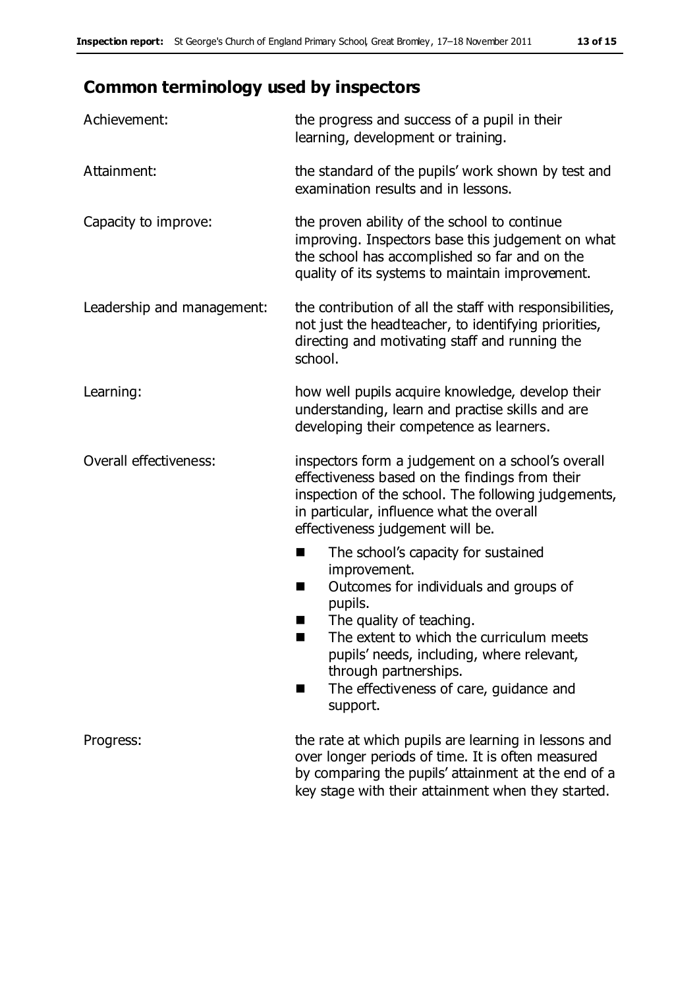# **Common terminology used by inspectors**

| Achievement:               | the progress and success of a pupil in their<br>learning, development or training.                                                                                                                                                                                                                                      |
|----------------------------|-------------------------------------------------------------------------------------------------------------------------------------------------------------------------------------------------------------------------------------------------------------------------------------------------------------------------|
| Attainment:                | the standard of the pupils' work shown by test and<br>examination results and in lessons.                                                                                                                                                                                                                               |
| Capacity to improve:       | the proven ability of the school to continue<br>improving. Inspectors base this judgement on what<br>the school has accomplished so far and on the<br>quality of its systems to maintain improvement.                                                                                                                   |
| Leadership and management: | the contribution of all the staff with responsibilities,<br>not just the headteacher, to identifying priorities,<br>directing and motivating staff and running the<br>school.                                                                                                                                           |
| Learning:                  | how well pupils acquire knowledge, develop their<br>understanding, learn and practise skills and are<br>developing their competence as learners.                                                                                                                                                                        |
| Overall effectiveness:     | inspectors form a judgement on a school's overall<br>effectiveness based on the findings from their<br>inspection of the school. The following judgements,<br>in particular, influence what the overall<br>effectiveness judgement will be.                                                                             |
|                            | The school's capacity for sustained<br>ш<br>improvement.<br>Outcomes for individuals and groups of<br>П<br>pupils.<br>The quality of teaching.<br>The extent to which the curriculum meets<br>pupils' needs, including, where relevant,<br>through partnerships.<br>The effectiveness of care, guidance and<br>support. |
| Progress:                  | the rate at which pupils are learning in lessons and<br>over longer periods of time. It is often measured<br>by comparing the pupils' attainment at the end of a<br>key stage with their attainment when they started.                                                                                                  |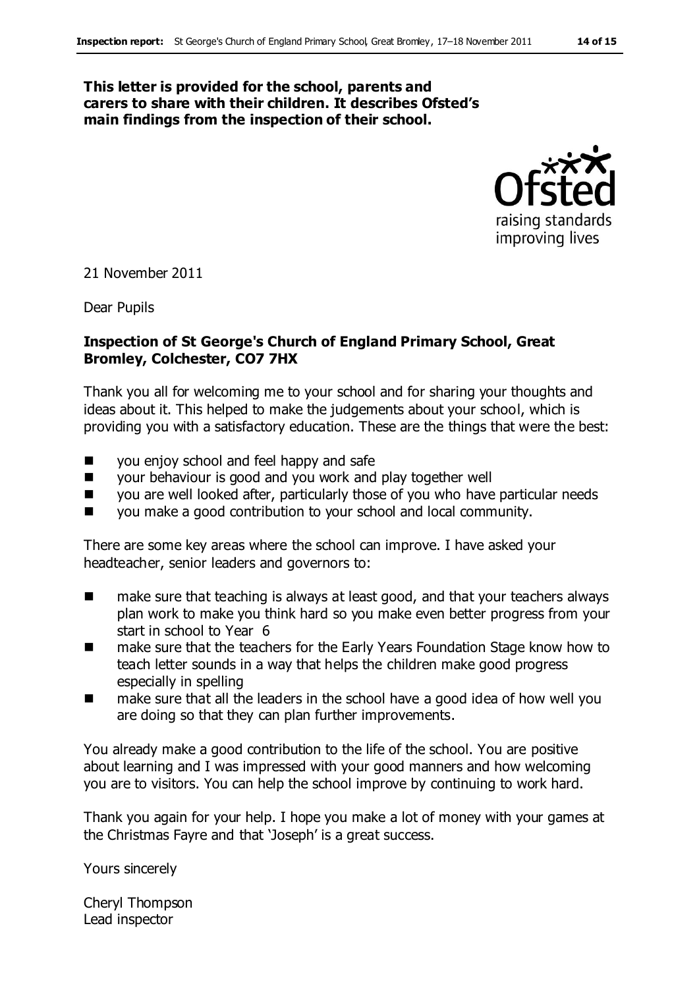#### **This letter is provided for the school, parents and carers to share with their children. It describes Ofsted's main findings from the inspection of their school.**



21 November 2011

Dear Pupils

#### **Inspection of St George's Church of England Primary School, Great Bromley, Colchester, CO7 7HX**

Thank you all for welcoming me to your school and for sharing your thoughts and ideas about it. This helped to make the judgements about your school, which is providing you with a satisfactory education. These are the things that were the best:

- you enjoy school and feel happy and safe
- your behaviour is good and you work and play together well
- $\Box$  you are well looked after, particularly those of you who have particular needs
- you make a good contribution to your school and local community.

There are some key areas where the school can improve. I have asked your headteacher, senior leaders and governors to:

- make sure that teaching is always at least good, and that your teachers always plan work to make you think hard so you make even better progress from your start in school to Year 6
- make sure that the teachers for the Early Years Foundation Stage know how to teach letter sounds in a way that helps the children make good progress especially in spelling
- make sure that all the leaders in the school have a good idea of how well you are doing so that they can plan further improvements.

You already make a good contribution to the life of the school. You are positive about learning and I was impressed with your good manners and how welcoming you are to visitors. You can help the school improve by continuing to work hard.

Thank you again for your help. I hope you make a lot of money with your games at the Christmas Fayre and that 'Joseph' is a great success.

Yours sincerely

Cheryl Thompson Lead inspector